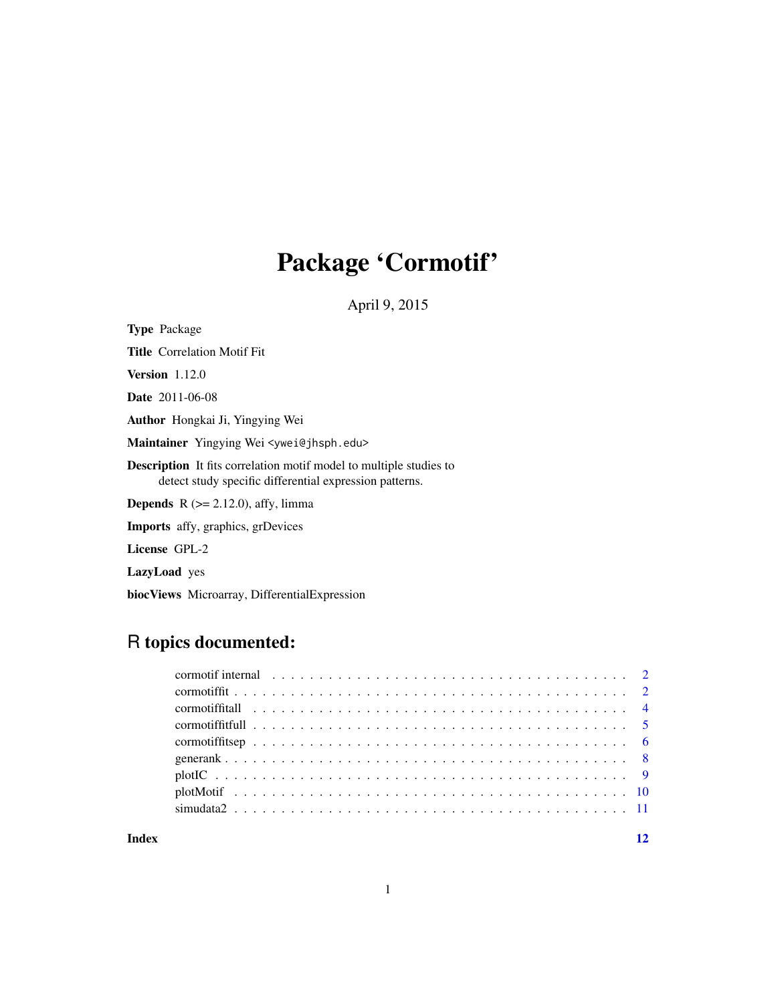## Package 'Cormotif'

April 9, 2015

Type Package Title Correlation Motif Fit Version 1.12.0 Date 2011-06-08 Author Hongkai Ji, Yingying Wei Maintainer Yingying Wei <ywei@jhsph.edu> Description It fits correlation motif model to multiple studies to detect study specific differential expression patterns. **Depends** R  $(>= 2.12.0)$ , affy, limma Imports affy, graphics, grDevices License GPL-2 LazyLoad yes

biocViews Microarray, DifferentialExpression

## R topics documented:

## **Index** [12](#page-11-0)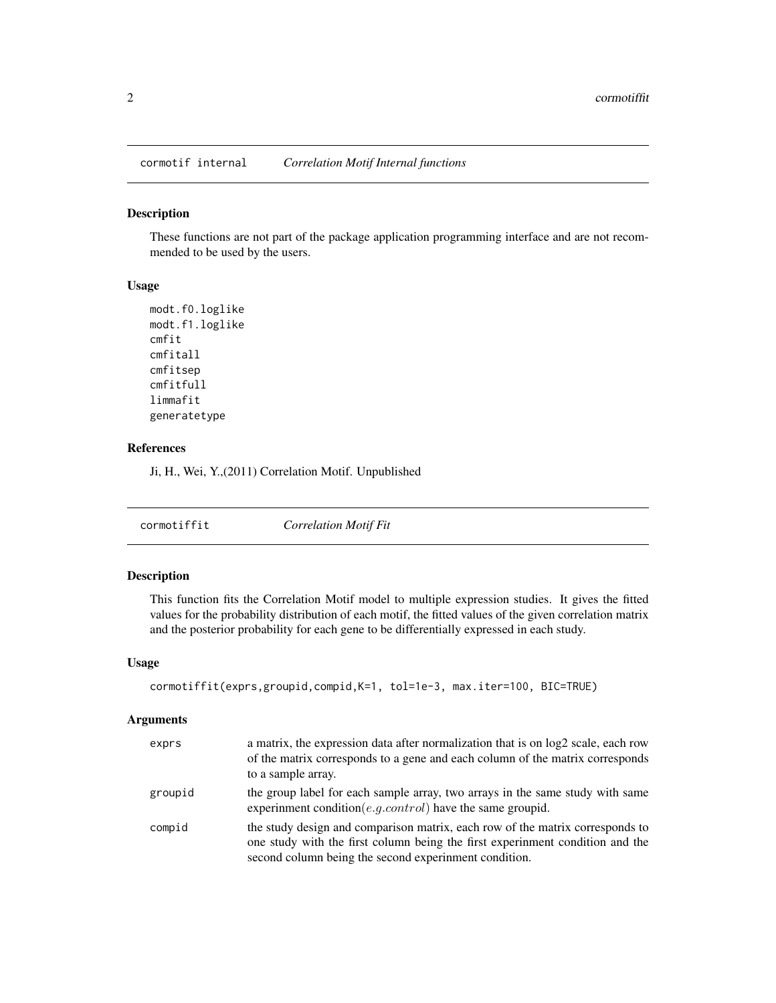<span id="page-1-0"></span>cormotif internal *Correlation Motif Internal functions*

#### Description

These functions are not part of the package application programming interface and are not recommended to be used by the users.

## Usage

```
modt.f0.loglike
modt.f1.loglike
cmfit
cmfitall
cmfitsep
cmfitfull
limmafit
generatetype
```
#### References

Ji, H., Wei, Y.,(2011) Correlation Motif. Unpublished

| <b>Correlation Motif Fit</b> |
|------------------------------|
|------------------------------|

## Description

This function fits the Correlation Motif model to multiple expression studies. It gives the fitted values for the probability distribution of each motif, the fitted values of the given correlation matrix and the posterior probability for each gene to be differentially expressed in each study.

## Usage

```
cormotiffit(exprs,groupid,compid,K=1, tol=1e-3, max.iter=100, BIC=TRUE)
```
#### Arguments

| exprs   | a matrix, the expression data after normalization that is on log2 scale, each row<br>of the matrix corresponds to a gene and each column of the matrix corresponds<br>to a sample array.                                |
|---------|-------------------------------------------------------------------------------------------------------------------------------------------------------------------------------------------------------------------------|
| groupid | the group label for each sample array, two arrays in the same study with same<br>experimment condition( <i>e.g.control</i> ) have the same groupid.                                                                     |
| compid  | the study design and comparison matrix, each row of the matrix corresponds to<br>one study with the first column being the first experimment condition and the<br>second column being the second experimment condition. |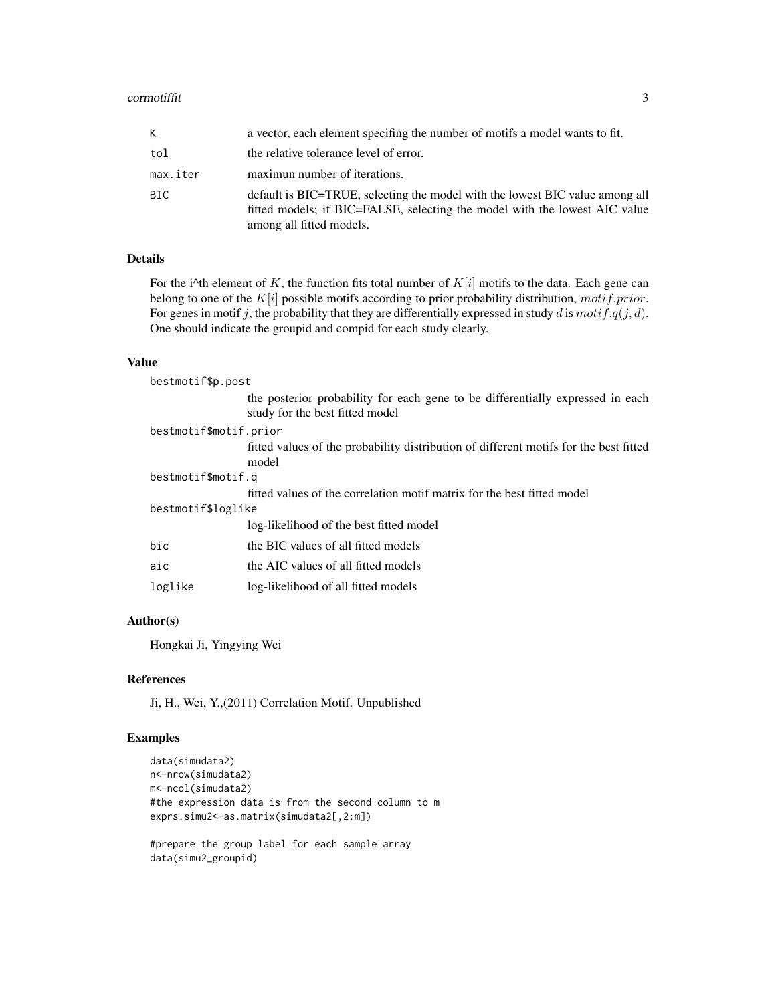| K        | a vector, each element specifing the number of motifs a model wants to fit.                                                                                                            |
|----------|----------------------------------------------------------------------------------------------------------------------------------------------------------------------------------------|
| tol      | the relative tolerance level of error.                                                                                                                                                 |
| max.iter | maximun number of iterations.                                                                                                                                                          |
| BIC      | default is BIC=TRUE, selecting the model with the lowest BIC value among all<br>fitted models; if BIC=FALSE, selecting the model with the lowest AIC value<br>among all fitted models. |

## Details

For the i^th element of K, the function fits total number of  $K[i]$  motifs to the data. Each gene can belong to one of the  $K[i]$  possible motifs according to prior probability distribution, motif.prior. For genes in motif j, the probability that they are differentially expressed in study d is  $motif.q(j,d)$ . One should indicate the groupid and compid for each study clearly.

## Value

| bestmotif\$p.post      |                                                                                                                   |
|------------------------|-------------------------------------------------------------------------------------------------------------------|
|                        | the posterior probability for each gene to be differentially expressed in each<br>study for the best fitted model |
| bestmotif\$motif.prior |                                                                                                                   |
|                        | fitted values of the probability distribution of different motifs for the best fitted<br>model                    |
| bestmotif\$motif.q     |                                                                                                                   |
|                        | fitted values of the correlation motif matrix for the best fitted model                                           |
| bestmotif\$loglike     |                                                                                                                   |
|                        | log-likelihood of the best fitted model                                                                           |
| bic                    | the BIC values of all fitted models                                                                               |
| aic                    | the AIC values of all fitted models                                                                               |
| loglike                | log-likelihood of all fitted models                                                                               |
|                        |                                                                                                                   |

## Author(s)

Hongkai Ji, Yingying Wei

## References

Ji, H., Wei, Y.,(2011) Correlation Motif. Unpublished

## Examples

```
data(simudata2)
n<-nrow(simudata2)
m<-ncol(simudata2)
#the expression data is from the second column to m
exprs.simu2 <- as.matrix(simudata2[,2:m])
```
#prepare the group label for each sample array data(simu2\_groupid)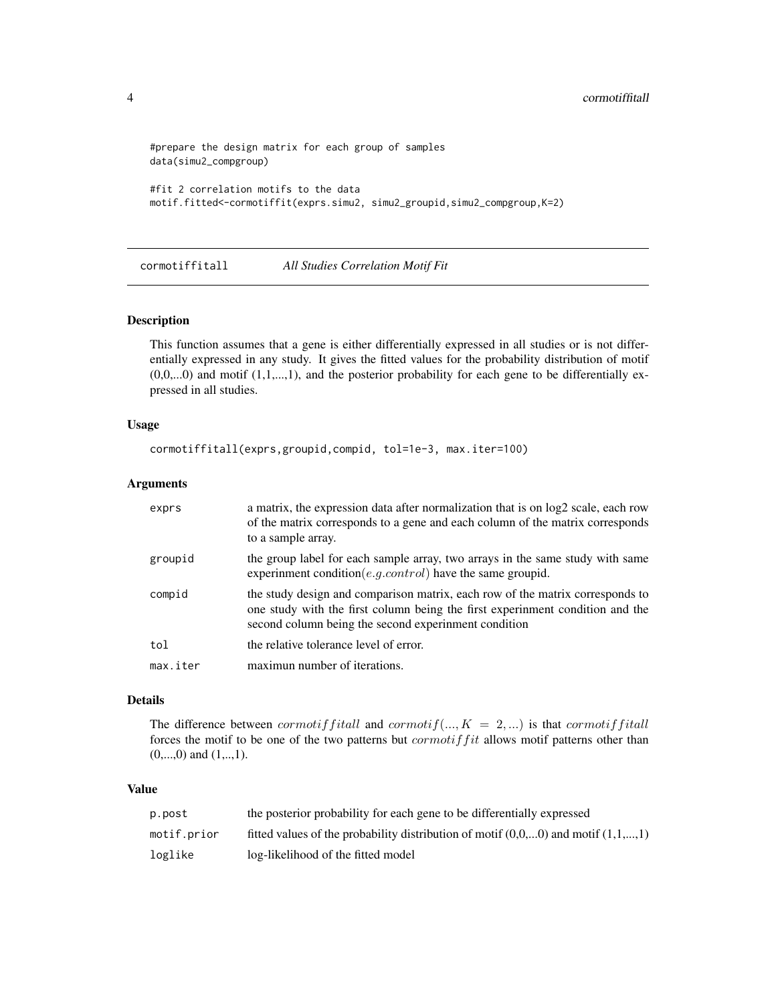```
#prepare the design matrix for each group of samples
data(simu2_compgroup)
#fit 2 correlation motifs to the data
motif.fitted<-cormotiffit(exprs.simu2, simu2_groupid,simu2_compgroup,K=2)
```
cormotiffitall *All Studies Correlation Motif Fit*

## Description

This function assumes that a gene is either differentially expressed in all studies or is not differentially expressed in any study. It gives the fitted values for the probability distribution of motif  $(0,0,...0)$  and motif  $(1,1,...,1)$ , and the posterior probability for each gene to be differentially expressed in all studies.

#### Usage

```
cormotiffitall(exprs,groupid,compid, tol=1e-3, max.iter=100)
```
#### Arguments

| exprs    | a matrix, the expression data after normalization that is on $log2$ scale, each row<br>of the matrix corresponds to a gene and each column of the matrix corresponds<br>to a sample array.                             |
|----------|------------------------------------------------------------------------------------------------------------------------------------------------------------------------------------------------------------------------|
| groupid  | the group label for each sample array, two arrays in the same study with same<br>experimment condition( <i>e.g.control</i> ) have the same groupid.                                                                    |
| compid   | the study design and comparison matrix, each row of the matrix corresponds to<br>one study with the first column being the first experimment condition and the<br>second column being the second experinment condition |
| tol      | the relative tolerance level of error.                                                                                                                                                                                 |
| max.iter | maximun number of iterations.                                                                                                                                                                                          |

## Details

The difference between cormotiffitall and cormotif(...,  $K = 2,...$ ) is that cormotiffitall forces the motif to be one of the two patterns but  $cormotiffit$  allows motif patterns other than  $(0,...,0)$  and  $(1,...,1)$ .

#### Value

| p.post      | the posterior probability for each gene to be differentially expressed                |
|-------------|---------------------------------------------------------------------------------------|
| motif.prior | fitted values of the probability distribution of motif $(0,0,0)$ and motif $(1,1,,1)$ |
| loglike     | log-likelihood of the fitted model                                                    |

<span id="page-3-0"></span>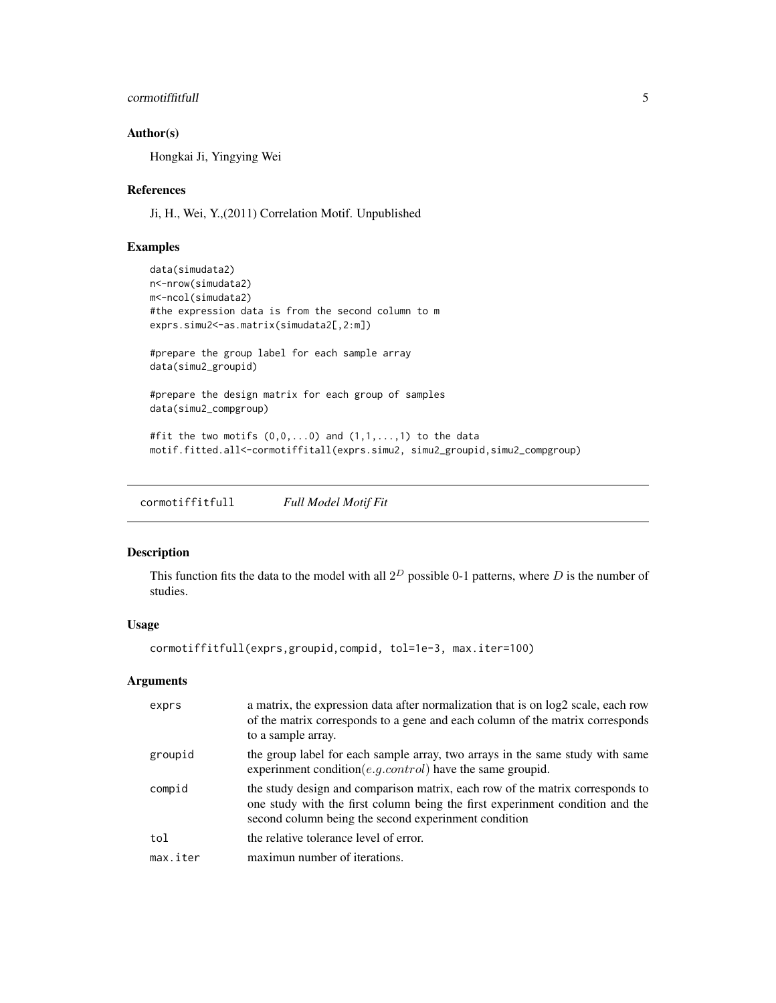## <span id="page-4-0"></span>cormotiffitfull 5

## Author(s)

Hongkai Ji, Yingying Wei

#### References

Ji, H., Wei, Y.,(2011) Correlation Motif. Unpublished

## Examples

```
data(simudata2)
n<-nrow(simudata2)
m<-ncol(simudata2)
#the expression data is from the second column to m
exprs.simu2 <- as.matrix(simudata2[,2:m])
#prepare the group label for each sample array
data(simu2_groupid)
#prepare the design matrix for each group of samples
data(simu2_compgroup)
#fit the two motifs (0,0,\ldots,0) and (1,1,\ldots,1) to the data
```

```
motif.fitted.all<-cormotiffitall(exprs.simu2, simu2_groupid,simu2_compgroup)
```
cormotiffitfull *Full Model Motif Fit*

## Description

This function fits the data to the model with all  $2^D$  possible 0-1 patterns, where D is the number of studies.

## Usage

cormotiffitfull(exprs,groupid,compid, tol=1e-3, max.iter=100)

## Arguments

| exprs    | a matrix, the expression data after normalization that is on log2 scale, each row<br>of the matrix corresponds to a gene and each column of the matrix corresponds<br>to a sample array.                               |
|----------|------------------------------------------------------------------------------------------------------------------------------------------------------------------------------------------------------------------------|
| groupid  | the group label for each sample array, two arrays in the same study with same<br>experimment condition(e.g.control) have the same groupid.                                                                             |
| compid   | the study design and comparison matrix, each row of the matrix corresponds to<br>one study with the first column being the first experimment condition and the<br>second column being the second experimment condition |
| tol      | the relative tolerance level of error.                                                                                                                                                                                 |
| max.iter | maximun number of iterations.                                                                                                                                                                                          |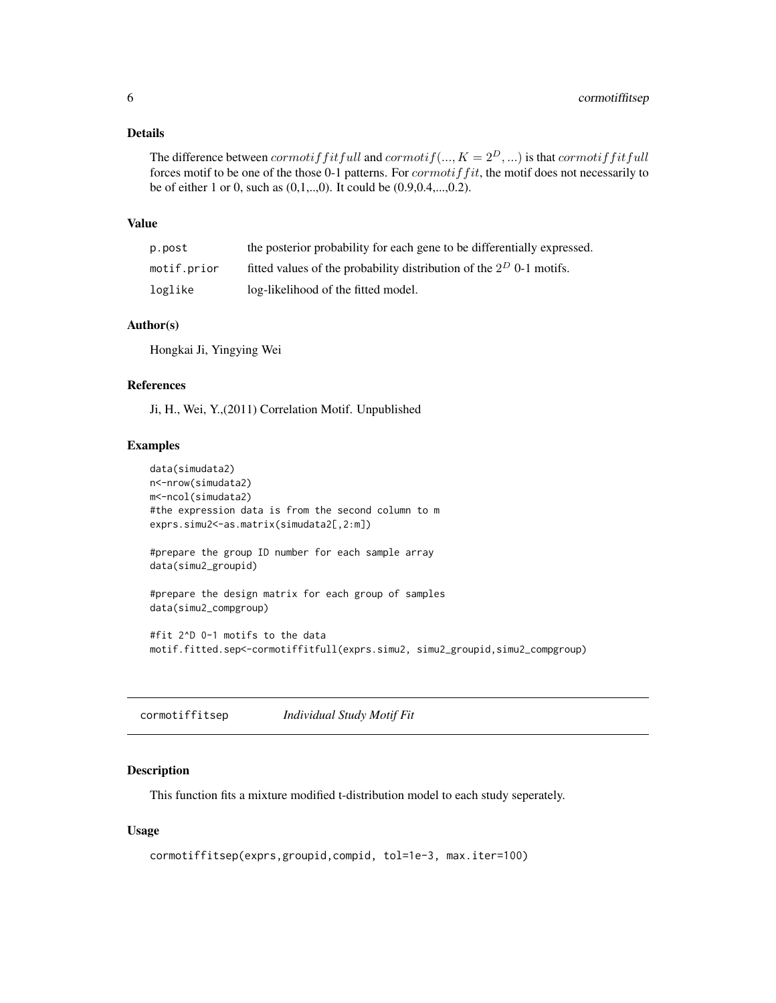## <span id="page-5-0"></span>Details

The difference between  $commitfitfull$  and  $commit(..., K = 2^D, ...)$  is that  $commitfitfull$ forces motif to be one of the those 0-1 patterns. For  $commitfit$ , the motif does not necessarily to be of either 1 or 0, such as (0,1,..,0). It could be (0.9,0.4,...,0.2).

## Value

| p.post      | the posterior probability for each gene to be differentially expressed. |
|-------------|-------------------------------------------------------------------------|
| motif.prior | fitted values of the probability distribution of the $2^D$ 0-1 motifs.  |
| loglike     | log-likelihood of the fitted model.                                     |

## Author(s)

Hongkai Ji, Yingying Wei

## References

Ji, H., Wei, Y.,(2011) Correlation Motif. Unpublished

## Examples

```
data(simudata2)
n<-nrow(simudata2)
m<-ncol(simudata2)
#the expression data is from the second column to m
exprs.simu2 <- as.matrix(simudata2[,2:m])
#prepare the group ID number for each sample array
data(simu2_groupid)
#prepare the design matrix for each group of samples
data(simu2_compgroup)
#fit 2^D 0-1 motifs to the data
motif.fitted.sep<-cormotiffitfull(exprs.simu2, simu2_groupid,simu2_compgroup)
```
cormotiffitsep *Individual Study Motif Fit*

#### Description

This function fits a mixture modified t-distribution model to each study seperately.

## Usage

```
cormotiffitsep(exprs,groupid,compid, tol=1e-3, max.iter=100)
```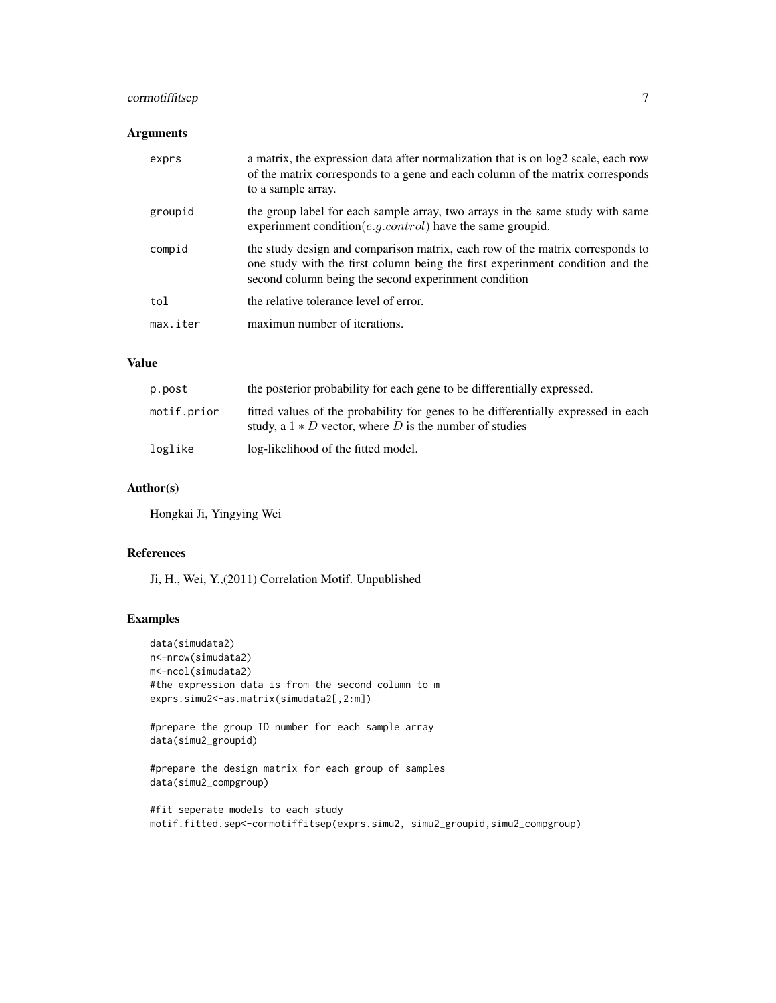## cormotiffitsep 7

## Arguments

| exprs    | a matrix, the expression data after normalization that is on log2 scale, each row<br>of the matrix corresponds to a gene and each column of the matrix corresponds<br>to a sample array.                               |
|----------|------------------------------------------------------------------------------------------------------------------------------------------------------------------------------------------------------------------------|
| groupid  | the group label for each sample array, two arrays in the same study with same<br>experimment condition( <i>e.g.control</i> ) have the same groupid.                                                                    |
| compid   | the study design and comparison matrix, each row of the matrix corresponds to<br>one study with the first column being the first experimment condition and the<br>second column being the second experimment condition |
| tol      | the relative tolerance level of error.                                                                                                                                                                                 |
| max.iter | maximun number of iterations.                                                                                                                                                                                          |

## Value

| p.post      | the posterior probability for each gene to be differentially expressed.                                                                        |
|-------------|------------------------------------------------------------------------------------------------------------------------------------------------|
| motif.prior | fitted values of the probability for genes to be differentially expressed in each<br>study, a $1 * D$ vector, where D is the number of studies |
| loglike     | log-likelihood of the fitted model.                                                                                                            |

## Author(s)

Hongkai Ji, Yingying Wei

## References

Ji, H., Wei, Y.,(2011) Correlation Motif. Unpublished

#### Examples

```
data(simudata2)
n<-nrow(simudata2)
m<-ncol(simudata2)
#the expression data is from the second column to m
exprs.simu2 <- as.matrix(simudata2[,2:m])
#prepare the group ID number for each sample array
data(simu2_groupid)
```

```
#prepare the design matrix for each group of samples
data(simu2_compgroup)
```

```
#fit seperate models to each study
motif.fitted.sep<-cormotiffitsep(exprs.simu2, simu2_groupid,simu2_compgroup)
```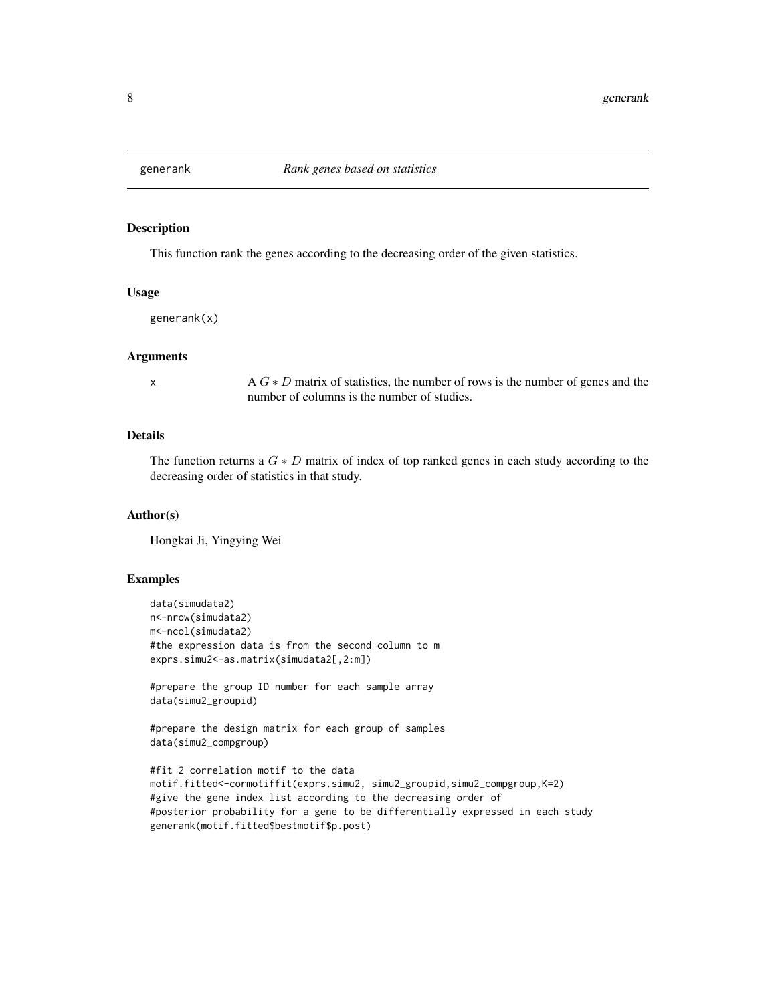<span id="page-7-0"></span>

## Description

This function rank the genes according to the decreasing order of the given statistics.

## Usage

generank(x)

#### Arguments

x A  $G * D$  matrix of statistics, the number of rows is the number of genes and the number of columns is the number of studies.

## Details

The function returns a  $G * D$  matrix of index of top ranked genes in each study according to the decreasing order of statistics in that study.

#### Author(s)

Hongkai Ji, Yingying Wei

## Examples

```
data(simudata2)
n<-nrow(simudata2)
m<-ncol(simudata2)
#the expression data is from the second column to m
exprs.simu2 <- as.matrix(simudata2[,2:m])
```
#prepare the group ID number for each sample array data(simu2\_groupid)

```
#prepare the design matrix for each group of samples
data(simu2_compgroup)
```

```
#fit 2 correlation motif to the data
motif.fitted<-cormotiffit(exprs.simu2, simu2_groupid,simu2_compgroup,K=2)
#give the gene index list according to the decreasing order of
#posterior probability for a gene to be differentially expressed in each study
generank(motif.fitted$bestmotif$p.post)
```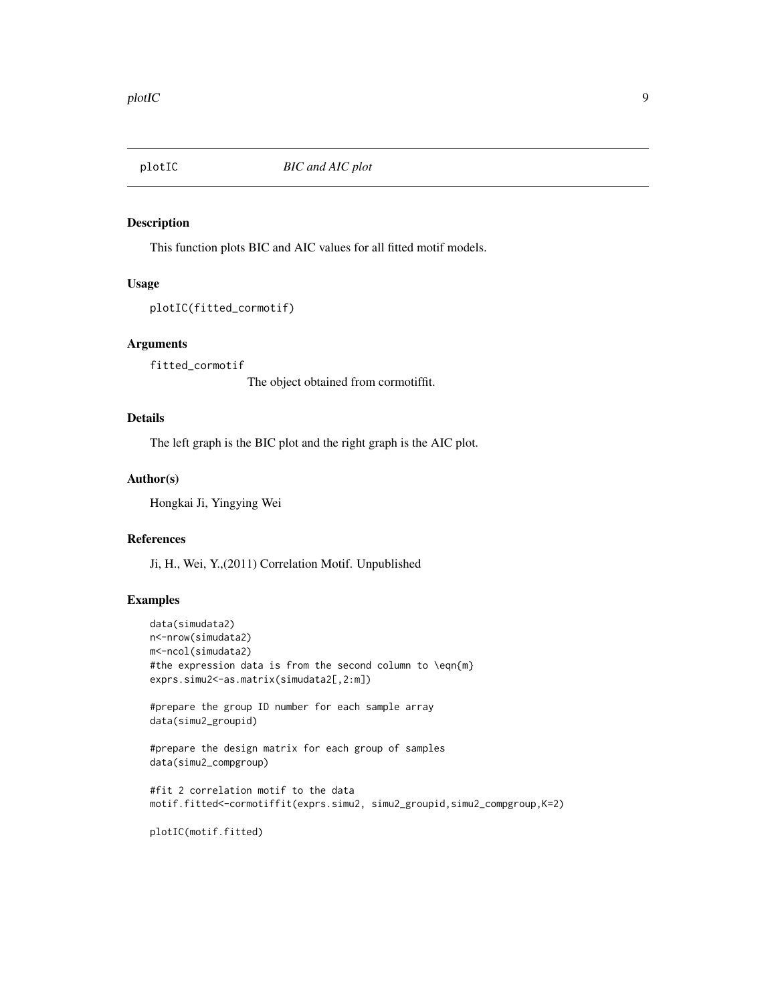<span id="page-8-0"></span>

## Description

This function plots BIC and AIC values for all fitted motif models.

## Usage

```
plotIC(fitted_cormotif)
```
## Arguments

fitted\_cormotif

The object obtained from cormotiffit.

## Details

The left graph is the BIC plot and the right graph is the AIC plot.

#### Author(s)

Hongkai Ji, Yingying Wei

## References

Ji, H., Wei, Y.,(2011) Correlation Motif. Unpublished

## Examples

```
data(simudata2)
n<-nrow(simudata2)
m<-ncol(simudata2)
#the expression data is from the second column to \eqn{m}
exprs.simu2 <- as.matrix(simudata2[,2:m])
```
#prepare the group ID number for each sample array data(simu2\_groupid)

```
#prepare the design matrix for each group of samples
data(simu2_compgroup)
```

```
#fit 2 correlation motif to the data
motif.fitted<-cormotiffit(exprs.simu2, simu2_groupid,simu2_compgroup,K=2)
```
plotIC(motif.fitted)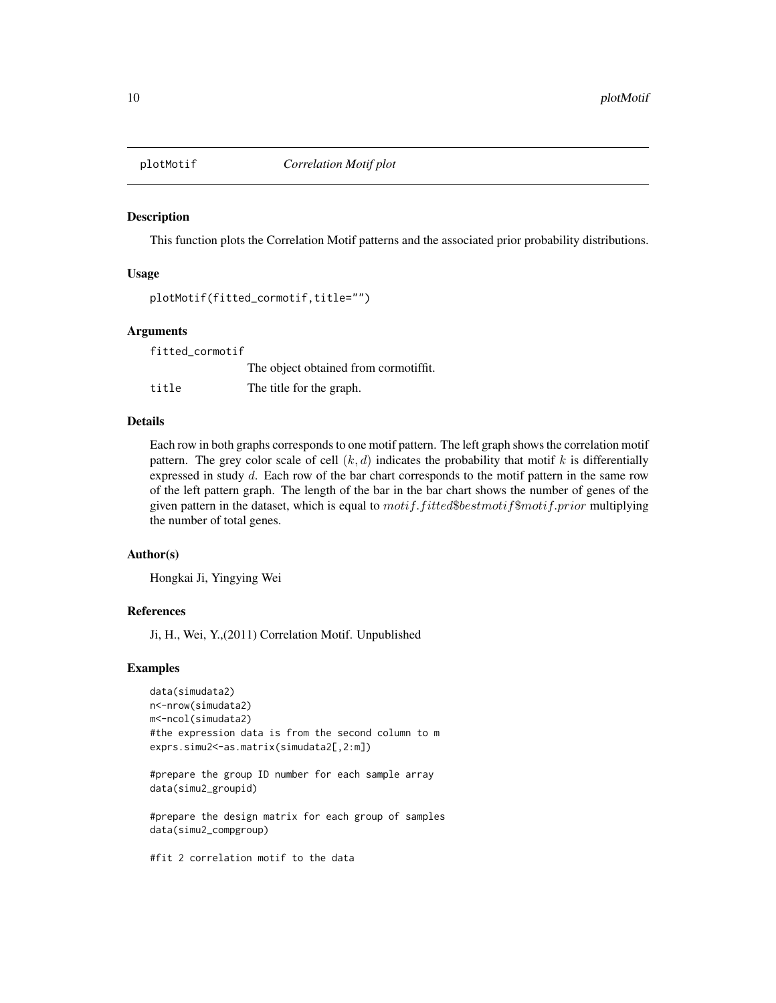<span id="page-9-0"></span>

## Description

This function plots the Correlation Motif patterns and the associated prior probability distributions.

#### Usage

```
plotMotif(fitted_cormotif,title="")
```
## Arguments

fitted\_cormotif The object obtained from cormotiffit. title The title for the graph.

#### Details

Each row in both graphs corresponds to one motif pattern. The left graph shows the correlation motif pattern. The grey color scale of cell  $(k, d)$  indicates the probability that motif k is differentially expressed in study d. Each row of the bar chart corresponds to the motif pattern in the same row of the left pattern graph. The length of the bar in the bar chart shows the number of genes of the given pattern in the dataset, which is equal to  $motif.fitted\$bestmotif\$motif.prior$  multiplying the number of total genes.

#### Author(s)

Hongkai Ji, Yingying Wei

## References

Ji, H., Wei, Y.,(2011) Correlation Motif. Unpublished

#### Examples

```
data(simudata2)
n<-nrow(simudata2)
m<-ncol(simudata2)
#the expression data is from the second column to m
exprs.simu2 <- as.matrix(simudata2[,2:m])
```
#prepare the group ID number for each sample array data(simu2\_groupid)

#prepare the design matrix for each group of samples data(simu2\_compgroup)

#fit 2 correlation motif to the data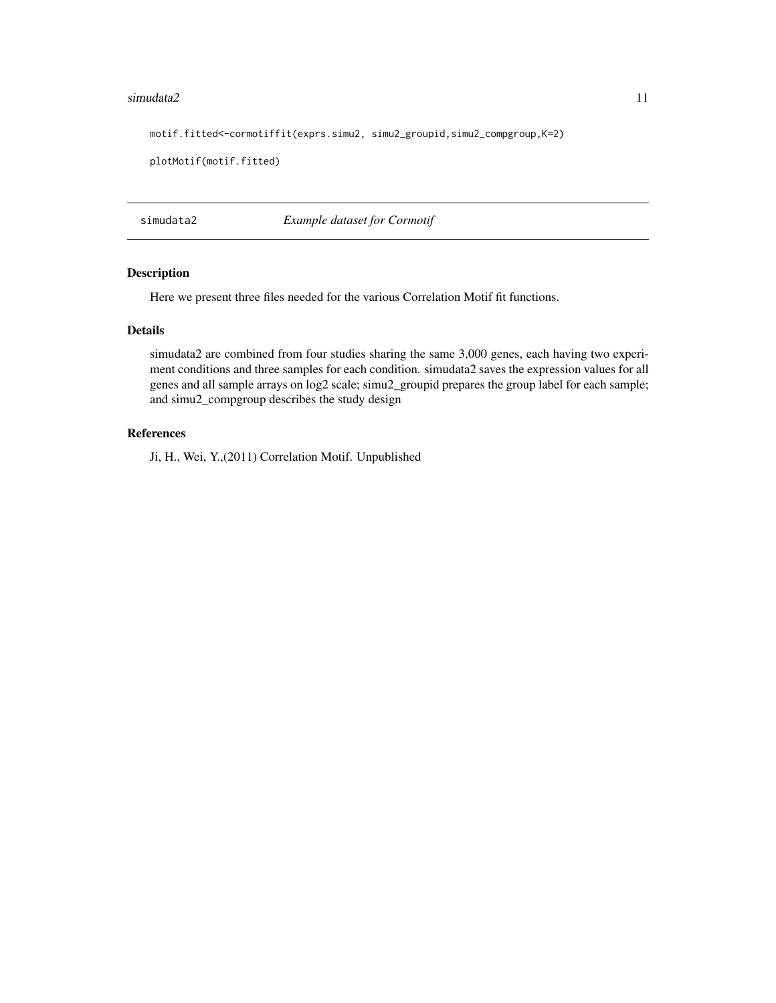#### <span id="page-10-0"></span>simudata2 11

```
motif.fitted<-cormotiffit(exprs.simu2, simu2_groupid,simu2_compgroup,K=2)
```
plotMotif(motif.fitted)

simudata2 *Example dataset for Cormotif*

## Description

Here we present three files needed for the various Correlation Motif fit functions.

## Details

simudata2 are combined from four studies sharing the same 3,000 genes, each having two experiment conditions and three samples for each condition. simudata2 saves the expression values for all genes and all sample arrays on log2 scale; simu2\_groupid prepares the group label for each sample; and simu2\_compgroup describes the study design

## References

Ji, H., Wei, Y.,(2011) Correlation Motif. Unpublished